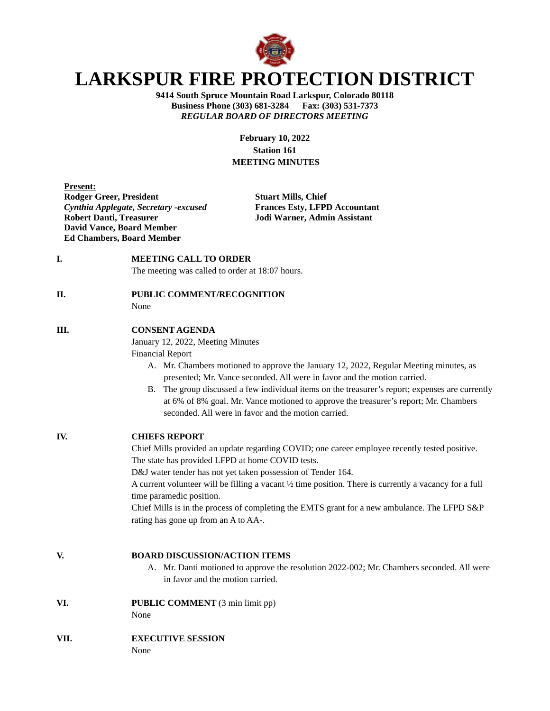

## **LARKSPUR FIRE PROTECTION DISTRICT**

**9414 South Spruce Mountain Road Larkspur, Colorado 80118 Business Phone (303) 681-3284 Fax: (303) 531-7373** *REGULAR BOARD OF DIRECTORS MEETING*

> **February 10, 2022 Station 161 MEETING MINUTES**

| <b>Present:</b>                        |
|----------------------------------------|
| <b>Rodger Greer, President</b>         |
| Cynthia Applegate, Secretary - excused |
| <b>Robert Danti, Treasurer</b>         |
| <b>David Vance, Board Member</b>       |
| <b>Ed Chambers, Board Member</b>       |

**Stuart Mills, Chief** *Cynthia Applegate, Secretary -excused* **Frances Esty, LFPD Accountant Jodi Warner, Admin Assistant** 

**I. MEETING CALL TO ORDER** 

The meeting was called to order at 18:07 hours.

**II. PUBLIC COMMENT/RECOGNITION**

None

## **III. CONSENT AGENDA**

January 12, 2022, Meeting Minutes

Financial Report

- A. Mr. Chambers motioned to approve the January 12, 2022, Regular Meeting minutes, as presented; Mr. Vance seconded. All were in favor and the motion carried.
- B. The group discussed a few individual items on the treasurer's report; expenses are currently at 6% of 8% goal. Mr. Vance motioned to approve the treasurer's report; Mr. Chambers seconded. All were in favor and the motion carried.

**IV. CHIEFS REPORT** Chief Mills provided an update regarding COVID; one career employee recently tested positive. The state has provided LFPD at home COVID tests. D&J water tender has not yet taken possession of Tender 164. A current volunteer will be filling a vacant ½ time position. There is currently a vacancy for a full time paramedic position. Chief Mills is in the process of completing the EMTS grant for a new ambulance. The LFPD S&P

rating has gone up from an A to AA-.

**V. BOARD DISCUSSION/ACTION ITEMS**

A. Mr. Danti motioned to approve the resolution 2022-002; Mr. Chambers seconded. All were in favor and the motion carried.

**VI. PUBLIC COMMENT** (3 min limit pp) None

**VII. EXECUTIVE SESSION**

None